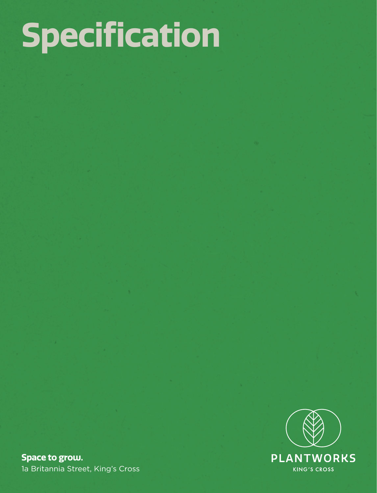# **Specification**



**Space to grow.** 1a Britannia Street, King's Cross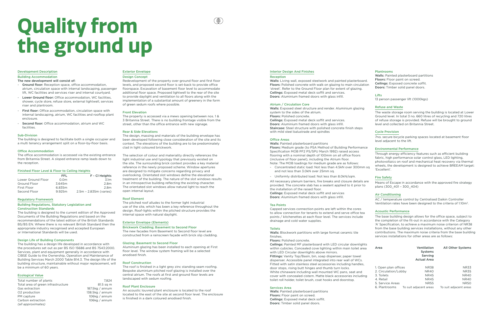#### Development Description

#### Building Accommodation

The new development will consist of:

- Ground floor: Reception space, office accommodation, atrium, circulation space with internal landscaping, passenger lift, WC facilities and services riser and internal courtyard.
- Lower Ground floor: Office accommodation, WC facilities, shower, cycle store, refuse store, external lightwell, services riser and plantroom.
- First floor: Office accommodation, circulation space with internal landscaping, atrium, WC facilities and rooftop plant enclosure.
- Second floor: Office accommodation, atrium and WC facilities.

#### Sub-Division

The building is designed to facilitate both a single occupier and a multi tenancy arrangement split on a floor-by-floor basis.

#### Office Accommodation

The office accommodation is accessed via the existing entrance from Britannia Street. A sloped entrance ramp leads down to the reception.

#### Finished Floor Level & Floor to Ceiling Heights

|                    | FFL              | F - CI Heights         |
|--------------------|------------------|------------------------|
| Lower Ground Floor | 0.0 <sub>m</sub> | 3.1 <sub>m</sub>       |
| Ground Floor       | 3.645m           | 2.8m                   |
| First Floor        | 6.835m           | 2.8m                   |
| Second Floor       | 9.925m           | 2.5m - 2.835m (varies) |

#### Regulatory Framework

#### Building Regulations, Statutory Legislation and Construction Standards

The building is designed to the current edition of the Approved Documents of the Building Regulations and based on the recommendations of the latest edition of the British Standards BS/BS EN. Where there is no relevant British Standard then the appropriate industry recognised and accepted European or International Standards will be used.

#### Design Life of Building Components

The building has a design life developed in accordance with the procedures set out as per BS ISO 15686 and BS 7543:2000. Services, plant and equipment generally in accordance with CIBSE Guide to the Ownership, Operation and Maintenance of Building Services March 2000 Table B14.3. The design life of the building structure, maintainable without major replacement, will be a minimum of 60 years.

#### Ecological Value

| Total number of plants             | 7.824              |
|------------------------------------|--------------------|
| Total area of green infrastructure | 81.5 sq m          |
| Gas extraction                     | 187.5kg / annum    |
| O <sub>2</sub> production          | 138.5 $kg / annum$ |
| PM capture                         | 106kg / annum      |
| Carbon extraction                  | 106kg / annum      |
| (all approximates)                 |                    |

### Exterior Envelope

#### Design Concept

Redevelopment of the property over ground floor and first floor levels, and proposed second floor is set-back to provide office floorspace. Excavation of basement floor level to accommodate additional floor space. Proposed lightwell to the rear of the site to provide daylight and ventilation to all floors along with the implementation of a substantial amount of greenery in the form of green sedum roofs where possible.

^®`

#### Front Elevation

The property is accessed via a mews opening between nos. 1 & 3 Britannia Street. There is no building frontage visible from the street, other than the office entrance with new signage.

#### Rear & Side Elevations

The design, massing and materials of the building envelope has been developed following close consideration of the site and its context. The elevations of the building are to be predominately clad in light coloured brickwork.

The selection of colour and materiality directly references the light industrial use and typology that previously existed on the site. The surrounding brick context provides a key material reference in the newly proposed scheme. Window apertures are designed to mitigate concerns regarding privacy and overlooking. Orientated slot windows define the elevational treatment of the building. The nature of the slot windows results in an introspective building reflecting the existing character. The orientated slot windows allow natural light to reach the open internal layout.

#### Roof Element

The pitched roof alludes to the former light industrial use of the site, which has been a key reference throughout the design. Roof-lights within the pitched structure provides the internal space with natural daylight.

#### Exterior Envelope (Elements)

#### Brickwork Cladding; Basement to Second Floor

The new facades from Basement to Second floor level are constructed from a rainscreen façade with brick slip cladding.

#### Glazing; Basement to Second Floor

Aluminium glazing has been installed to each opening at First floor level. The window system framing will be a selected anodised finish.

#### Roof Construction

The roof is finished in a light grey zinc standing seam roofing. Bespoke aluminium pitched roof glazing is installed over the central atrium. The roofs at first and ground floor levels are landscaped with sedum roofing.

#### Roof Plant Enclosure

An acoustic louvred plant enclosure is located to the roof located to the east of the site at second floor level. The enclosure is finished in a dark coloured anodised finish.

#### Interior Design And Finishes

#### **Reception**

Walls: Living wall, exposed steelwork and painted plasterboard. Floors: Polished concrete with walk on glazing to main circulation 'street'. Refer to the Ground Floor plan for extent of glazing. Ceilings: Exposed metal deck soffit and services. Doors: Aluminium framed doors with glass infill.

#### Atrium / Circulation Core

Walls: Exposed steel structure and render. Aluminium glazing system to the sides of the atrium. Floors: Polished concrete. Ceilings: Exposed metal deck soffit and services. Doors: Aluminium framed doors with glass infill. Staircase: Steel structure with polished concrete finish steps with mild steel balustrade and spindles

#### Office Areas

#### Walls: Painted plasterboard partitions

Floors: Medium grade (to PSA Method of Building Performance Specification MOB PF2 PS/SPU March 1992) raised access flooring with a nominal depth of 100mm on all office floors (inclusive of floor panel), including the Atrium floor. Note: The MOB loadings for medium grade are as follows:

- Concentrated static load: Not less than 4.5kN over 300mm sq and not less than 3.0kN over 25mm sq.
- Uniformly distributed load: Not less than 8.0kN/sqm.

All necessary plenum barriers, fire breaks and closure details are provided. The concrete slab has a sealant applied to it prior to the installation of the raised floor. Ceilings: Exposed metal deck soffit and services

Doors: Aluminium framed doors with glass infill.

#### Tea Points

Capped services connection points are left within the cores to allow connection for tenants to extend and serve office tea points / kitchenettes at each floor level. The services include drainage and cold water supplies.

#### Toilets

Walls: Blockwork partitions with large format ceramic tile finishes.

#### Floors: Polished concrete.

Ceilings: Painted MF plasterboard with LED circular downlights within cubicles. Concealed cove lighting within main toilet area with LED Circular downlights above mirrors.

Fittings: Vanity Top/Basin, bin, soap dispenser, paper towel dispenser. Accessible panel integrated into rear wall of WCs. Fitted with satin stainless steel accessories including handles, door stops, rising butt hinges and thumb turn locks. White chinaware including wall mounted WC pans, seat and cover with concealed cistern. Matte black accessories including toilet roll holder, toilet brush, coat hooks and doorstop.

#### Services Area

Walls: Painted plasterboard partitions Floors: Floor paint on screed. Ceilings: Exposed metal deck soffit. Doors: Timber solid panel doors.

#### Plantrooms

Walls: Painted plasterboard partitions Floors: Floor paint on screed. Ceilings: Exposed concrete soffit. Doors: Timber solid panel doors.

#### Lifts

13 person passenger lift (1000kgs)

#### Refuse and Waste

The waste storage room serving the building is located at Lower Ground level. In total 3 no. 660 litres of recycling and 720 litres of refuse storage is provided. Refuse will be brought to ground level and collected on Britannia Street.

#### Cycle Provision

7no. secure bicycle parking spaces located at basement floor level adjacent to the lift.

#### Environmental Performance

Through energy efficiency features such as efficient building fabric, high performance solar control glass, LED lighting, photovoltaics on roof and mechanical heat recovery via thermal wheels, the development is designed to achieve BREEAM target: 'Excellent'.

#### Fire Safety

Means of Escape in accordance with the approved fire strategy plans (300\_401 – 300\_404)

#### Air Conditioning

AC / temperature control by Centralised Daikin Controller Ventilation rates have been designed to the criteria of 1:10m2.

#### Acoustic Performance

The base building design allows for the office space, subject to the completion of the fit-out in accordance with the Category 'A' Specification, to achieve a maximum noise criterion of NR38 from the base building services installations, without any other contributions. The maximum noise criteria from the base building services installations for other areas are as follows:

| Ventilation<br>Systems<br>Serving<br><b>Actual Area</b> | <b>All Other Systems</b>                                               |
|---------------------------------------------------------|------------------------------------------------------------------------|
| <b>NR38</b>                                             | <b>NR33</b>                                                            |
| <b>NR40</b>                                             | <b>NR35</b>                                                            |
| <b>NR45</b>                                             | <b>NR40</b>                                                            |
| <b>NR45</b>                                             | <b>NR40</b>                                                            |
| <b>NR55</b>                                             | <b>NR50</b>                                                            |
|                                                         | To suit adjacent areas                                                 |
|                                                         | 1. Open plan offices<br>2. Circulation/Lobby<br>To suit adjacent areas |

# **Quality from the ground up**